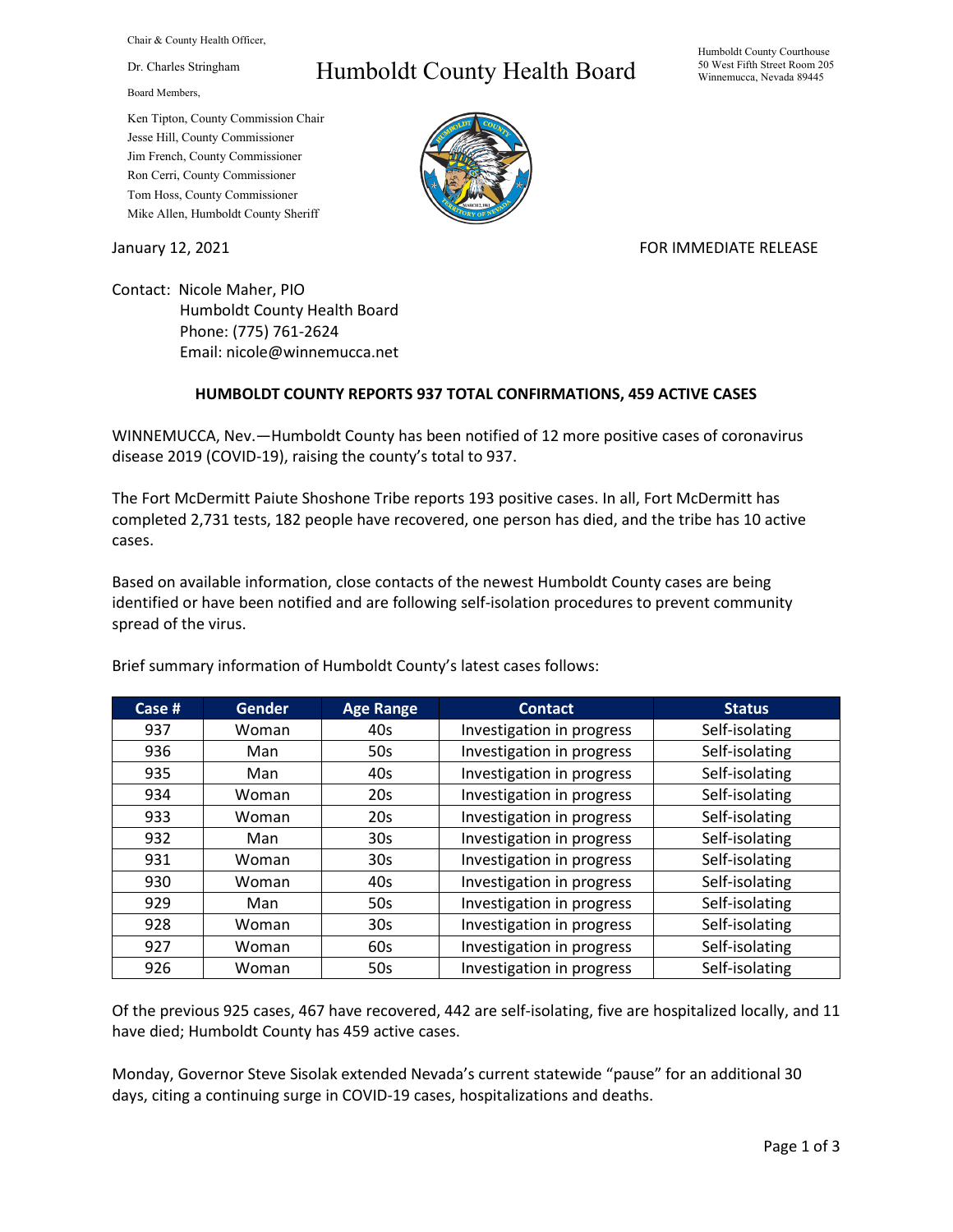Chair & County Health Officer,

Dr. Charles Stringham

Board Members,

## Ken Tipton, County Commission Chair Jesse Hill, County Commissioner Jim French, County Commissioner Ron Cerri, County Commissioner Tom Hoss, County Commissioner Mike Allen, Humboldt County Sheriff

## Humboldt County Health Board



## January 12, 2021 **FOR IMMEDIATE RELEASE**

Contact: Nicole Maher, PIO Humboldt County Health Board Phone: (775) 761-2624 Email: nicole@winnemucca.net

## **HUMBOLDT COUNTY REPORTS 937 TOTAL CONFIRMATIONS, 459 ACTIVE CASES**

WINNEMUCCA, Nev.—Humboldt County has been notified of 12 more positive cases of coronavirus disease 2019 (COVID-19), raising the county's total to 937.

The Fort McDermitt Paiute Shoshone Tribe reports 193 positive cases. In all, Fort McDermitt has completed 2,731 tests, 182 people have recovered, one person has died, and the tribe has 10 active cases.

Based on available information, close contacts of the newest Humboldt County cases are being identified or have been notified and are following self-isolation procedures to prevent community spread of the virus.

| Case # | <b>Gender</b> | <b>Age Range</b> | <b>Contact</b>            | <b>Status</b>  |
|--------|---------------|------------------|---------------------------|----------------|
| 937    | Woman         | 40s              | Investigation in progress | Self-isolating |
| 936    | Man           | 50s              | Investigation in progress | Self-isolating |
| 935    | Man           | 40s              | Investigation in progress | Self-isolating |
| 934    | Woman         | 20s              | Investigation in progress | Self-isolating |
| 933    | Woman         | 20s              | Investigation in progress | Self-isolating |
| 932    | Man           | 30 <sub>s</sub>  | Investigation in progress | Self-isolating |
| 931    | Woman         | 30 <sub>s</sub>  | Investigation in progress | Self-isolating |
| 930    | Woman         | 40s              | Investigation in progress | Self-isolating |
| 929    | Man           | 50s              | Investigation in progress | Self-isolating |
| 928    | Woman         | 30 <sub>s</sub>  | Investigation in progress | Self-isolating |
| 927    | Woman         | 60s              | Investigation in progress | Self-isolating |
| 926    | Woman         | 50s              | Investigation in progress | Self-isolating |

Brief summary information of Humboldt County's latest cases follows:

Of the previous 925 cases, 467 have recovered, 442 are self-isolating, five are hospitalized locally, and 11 have died; Humboldt County has 459 active cases.

Monday, Governor Steve Sisolak extended Nevada's current statewide "pause" for an additional 30 days, citing a continuing surge in COVID-19 cases, hospitalizations and deaths.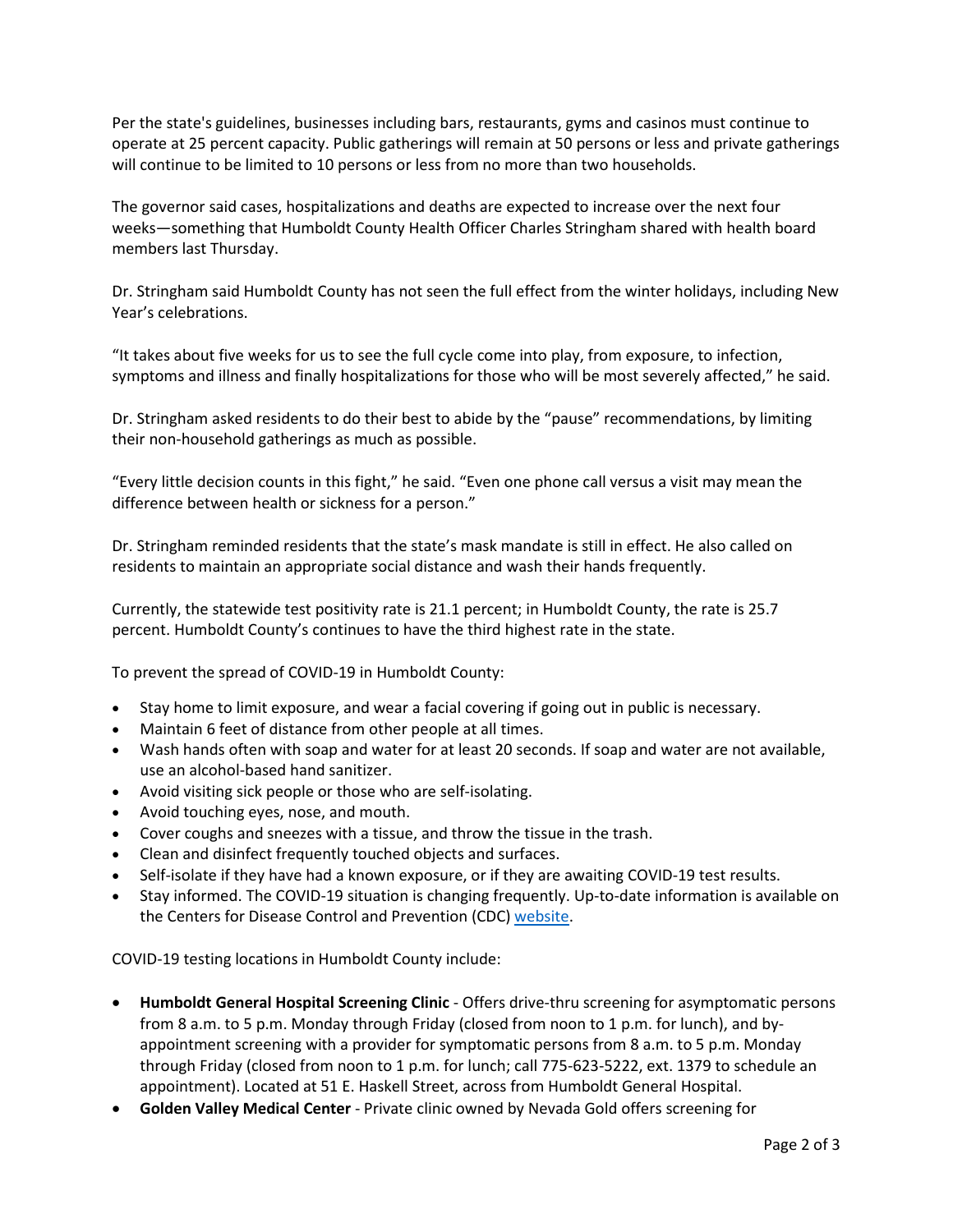Per the state's guidelines, businesses including bars, restaurants, gyms and casinos must continue to operate at 25 percent capacity. Public gatherings will remain at 50 persons or less and private gatherings will continue to be limited to 10 persons or less from no more than two households.

The governor said cases, hospitalizations and deaths are expected to increase over the next four weeks—something that Humboldt County Health Officer Charles Stringham shared with health board members last Thursday.

Dr. Stringham said Humboldt County has not seen the full effect from the winter holidays, including New Year's celebrations.

"It takes about five weeks for us to see the full cycle come into play, from exposure, to infection, symptoms and illness and finally hospitalizations for those who will be most severely affected," he said.

Dr. Stringham asked residents to do their best to abide by the "pause" recommendations, by limiting their non-household gatherings as much as possible.

"Every little decision counts in this fight," he said. "Even one phone call versus a visit may mean the difference between health or sickness for a person."

Dr. Stringham reminded residents that the state's mask mandate is still in effect. He also called on residents to maintain an appropriate social distance and wash their hands frequently.

Currently, the statewide test positivity rate is 21.1 percent; in Humboldt County, the rate is 25.7 percent. Humboldt County's continues to have the third highest rate in the state.

To prevent the spread of COVID-19 in Humboldt County:

- Stay home to limit exposure, and wear a facial covering if going out in public is necessary.
- Maintain 6 feet of distance from other people at all times.
- Wash hands often with soap and water for at least 20 seconds. If soap and water are not available, use an alcohol-based hand sanitizer.
- Avoid visiting sick people or those who are self-isolating.
- Avoid touching eyes, nose, and mouth.
- Cover coughs and sneezes with a tissue, and throw the tissue in the trash.
- Clean and disinfect frequently touched objects and surfaces.
- Self-isolate if they have had a known exposure, or if they are awaiting COVID-19 test results.
- Stay informed. The COVID-19 situation is changing frequently. Up-to-date information is available on the Centers for Disease Control and Prevention (CDC) [website.](http://www.cdc.gov/coronavirus/2019-ncov/index.html)

COVID-19 testing locations in Humboldt County include:

- **Humboldt General Hospital Screening Clinic** Offers drive-thru screening for asymptomatic persons from 8 a.m. to 5 p.m. Monday through Friday (closed from noon to 1 p.m. for lunch), and byappointment screening with a provider for symptomatic persons from 8 a.m. to 5 p.m. Monday through Friday (closed from noon to 1 p.m. for lunch; call 775-623-5222, ext. 1379 to schedule an appointment). Located at 51 E. Haskell Street, across from Humboldt General Hospital.
- **Golden Valley Medical Center** Private clinic owned by Nevada Gold offers screening for